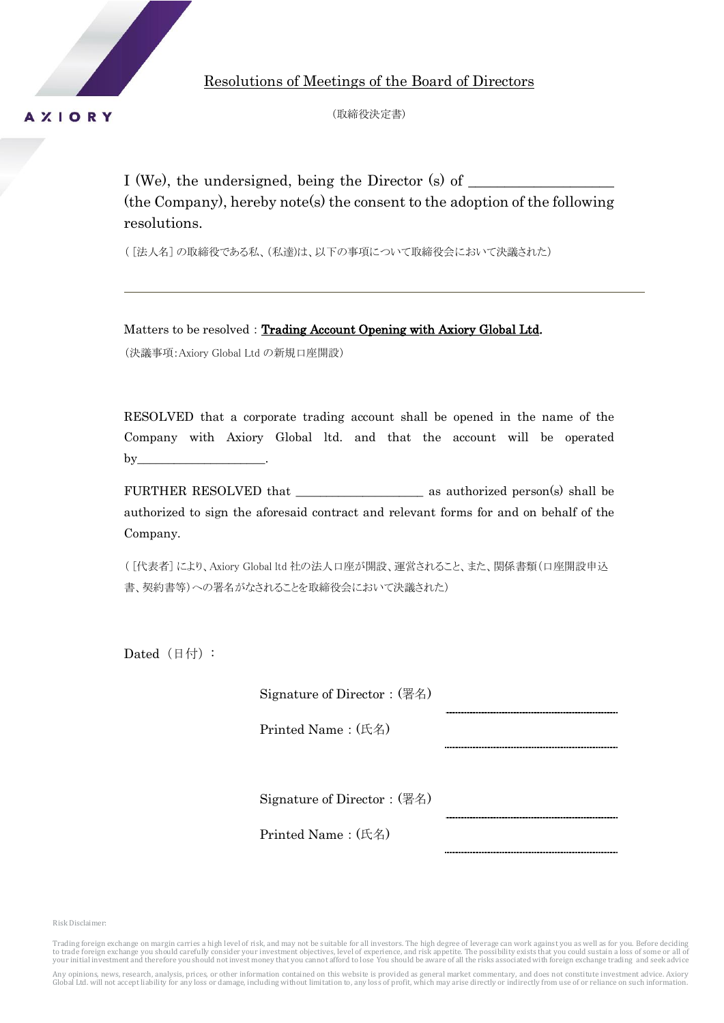

Resolutions of Meetings of the Board of Directors

(取締役決定書)

I (We), the undersigned, being the Director  $(s)$  of (the Company), hereby note(s) the consent to the adoption of the following resolutions.

( [法人名] の取締役である私、(私達)は、以下の事項について取締役会において決議された)

Matters to be resolved: Trading Account Opening with Axiory Global Ltd. (決議事項:Axiory Global Ltd の新規口座開設)

RESOLVED that a corporate trading account shall be opened in the name of the Company with Axiory Global ltd. and that the account will be operated  $by$ <sub>——</sub>

FURTHER RESOLVED that \_\_\_\_\_\_\_\_\_\_\_\_\_\_\_\_\_\_\_\_\_ as authorized person(s) shall be authorized to sign the aforesaid contract and relevant forms for and on behalf of the Company.

( [代表者] により、Axiory Global ltd 社の法人口座が開設、運営されること、また、関係書類(口座開設申込 書、契約書等)への署名がなされることを取締役会において決議された)

Dated $(H|f)$ :

Signature of Director:(署名)

Printed Name:(氏名)

Signature of Director:(署名)

Printed Name:(氏名)

Risk Disclaimer:

Trading foreign exchange on margin carries a high level of risk, and may not be suitable for all investors. The high degree of leverage can work against you as well as for you. Before deciding to trade foreign exchange you should carefully consider your investment objectives, level of experience, and risk appetite. The possibility exists that you could sustain a loss of some or all of your initial investment and therefore you should not invest money that you cannot afford to lose You should be aware of all the risks associated with foreign exchange trading and seek advice

Any opinions, news, research, analysis, prices, or other information contained on this website is provided as general market commentary, and does not constitute investment advice. Axiory<br>Global Ltd. will not accept liabili